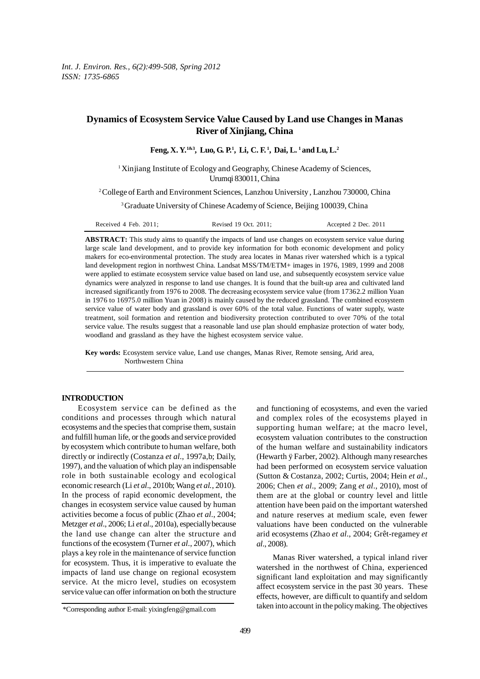# **Dynamics of Ecosystem Service Value Caused by Land use Changes in Manas River of Xinjiang, China**

**Feng, X. Y.1&3, Luo, G. P.1 , Li, C. F. 1, Dai, L. 1 and Lu, L.2**

<sup>1</sup>Xinjiang Institute of Ecology and Geography, Chinese Academy of Sciences, Urumqi 830011, China

2 College of Earth and Environment Sciences, Lanzhou University , Lanzhou 730000, China

<sup>3</sup> Graduate University of Chinese Academy of Science, Beijing 100039, China

Received 4 Feb. 2011; Revised 19 Oct. 2011; Accepted 2 Dec. 2011

**ABSTRACT:** This study aims to quantify the impacts of land use changes on ecosystem service value during large scale land development, and to provide key information for both economic development and policy makers for eco-environmental protection. The study area locates in Manas river watershed which is a typical land development region in northwest China. Landsat MSS/TM/ETM+ images in 1976, 1989, 1999 and 2008 were applied to estimate ecosystem service value based on land use, and subsequently ecosystem service value dynamics were analyzed in response to land use changes. It is found that the built-up area and cultivated land increased significantly from 1976 to 2008. The decreasing ecosystem service value (from 17362.2 million Yuan in 1976 to 16975.0 million Yuan in 2008) is mainly caused by the reduced grassland. The combined ecosystem service value of water body and grassland is over 60% of the total value. Functions of water supply, waste treatment, soil formation and retention and biodiversity protection contributed to over 70% of the total service value. The results suggest that a reasonable land use plan should emphasize protection of water body, woodland and grassland as they have the highest ecosystem service value.

**Key words:** Ecosystem service value, Land use changes, Manas River, Remote sensing, Arid area, Northwestern China

#### **INTRODUCTION**

Ecosystem service can be defined as the conditions and processes through which natural ecosystems and the species that comprise them, sustain and fulfill human life, or the goods and service provided by ecosystem which contribute to human welfare, both directly or indirectly (Costanza *et al*., 1997a,b; Daily, 1997), and the valuation of which play an indispensable role in both sustainable ecology and ecological economic research (Li *et al*., 2010b; Wang *et al.*, 2010). In the process of rapid economic development, the changes in ecosystem service value caused by human activities become a focus of public (Zhao *et al*., 2004; Metzger *et al*., 2006; Li *et al*., 2010a), especially because the land use change can alter the structure and functions of the ecosystem (Turner *et al*., 2007), which plays a key role in the maintenance of service function for ecosystem. Thus, it is imperative to evaluate the impacts of land use change on regional ecosystem service. At the micro level, studies on ecosystem service value can offer information on both the structure

and functioning of ecosystems, and even the varied and complex roles of the ecosystems played in supporting human welfare; at the macro level, ecosystem valuation contributes to the construction of the human welfare and sustainability indicators (Hewarth ÿ Farber, 2002). Although many researches had been performed on ecosystem service valuation (Sutton & Costanza, 2002; Curtis, 2004; Hein *et al*., 2006; Chen *et al*., 2009; Zang *et al*., 2010), most of them are at the global or country level and little attention have been paid on the important watershed and nature reserves at medium scale, even fewer valuations have been conducted on the vulnerable arid ecosystems (Zhao *et al*., 2004; Grêt-regamey *et al*., 2008).

Manas River watershed, a typical inland river watershed in the northwest of China, experienced significant land exploitation and may significantly affect ecosystem service in the past 30 years. These effects, however, are difficult to quantify and seldom taken into account in the policy making. The objectives

<sup>\*</sup>Corresponding author E-mail: yixingfeng@gmail.com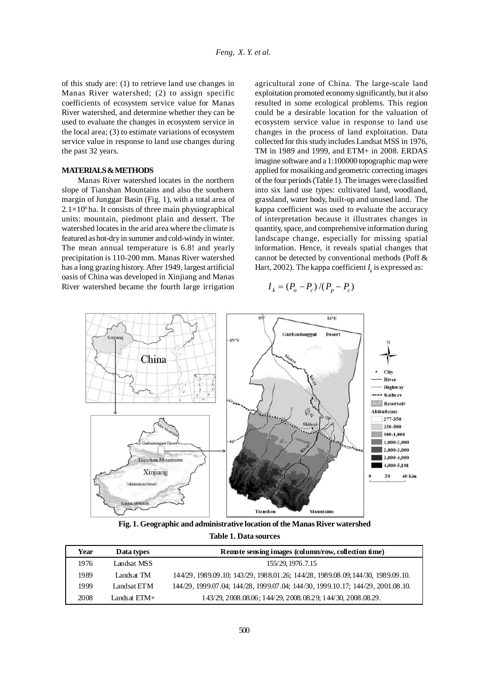of this study are: (1) to retrieve land use changes in Manas River watershed; (2) to assign specific coefficients of ecosystem service value for Manas River watershed, and determine whether they can be used to evaluate the changes in ecosystem service in the local area; (3) to estimate variations of ecosystem service value in response to land use changes during the past 32 years.

# **MATERIALS & METHODS**

Manas River watershed locates in the northern slope of Tianshan Mountains and also the southern margin of Junggar Basin (Fig. 1), with a total area of  $2.1\times10^{6}$  ha. It consists of three main physiographical units: mountain, piedmont plain and dessert. The watershed locates in the arid area where the climate is featured as hot-dry in summer and cold-windy in winter. The mean annual temperature is 6.8! and yearly precipitation is 110-200 mm. Manas River watershed has a long grazing history. After 1949, largest artificial oasis of China was developed in Xinjiang and Manas River watershed became the fourth large irrigation

agricultural zone of China. The large-scale land exploitation promoted economy significantly, but it also resulted in some ecological problems. This region could be a desirable location for the valuation of ecosystem service value in response to land use changes in the process of land exploitation. Data collected for this study includes Landsat MSS in 1976, TM in 1989 and 1999, and ETM+ in 2008. ERDAS imagine software and a 1:100000 topographic map were applied for mosaiking and geometric correcting images of the four periods (Table 1). The images were classified into six land use types: cultivated land, woodland, grassland, water body, built-up and unused land. The kappa coefficient was used to evaluate the accuracy of interpretation because it illustrates changes in quantity, space, and comprehensive information during landscape change, especially for missing spatial information. Hence, it reveals spatial changes that cannot be detected by conventional methods (Poff & Hart, 2002). The kappa coefficient  $I_k$  is expressed as:

$$
I_k = (P_o - P_c)/(P_p - P_c)
$$



**Fig. 1. Geographic and administrative location of the Manas River watershed Table 1. Data sources**

| Year | Data types   | Remote sensing images (column/row, collection time)                             |
|------|--------------|---------------------------------------------------------------------------------|
| 1976 | Landsat MSS  | 155/29, 1976.7.15                                                               |
| 1989 | Landsat TM   | 144/29, 1989.09.10; 143/29, 1988.01.26; 144/28, 1989.08.09; 144/30, 1989.09.10. |
| 1999 | Landsat ETM  | 144/29, 1999.07.04; 144/28, 1999.07.04; 144/30, 1999.10.17; 144/29, 2001.08.10. |
| 2008 | Landsat ETM+ | 143/29, 2008.08.06; 144/29, 2008.08.29; 144/30, 2008.08.29.                     |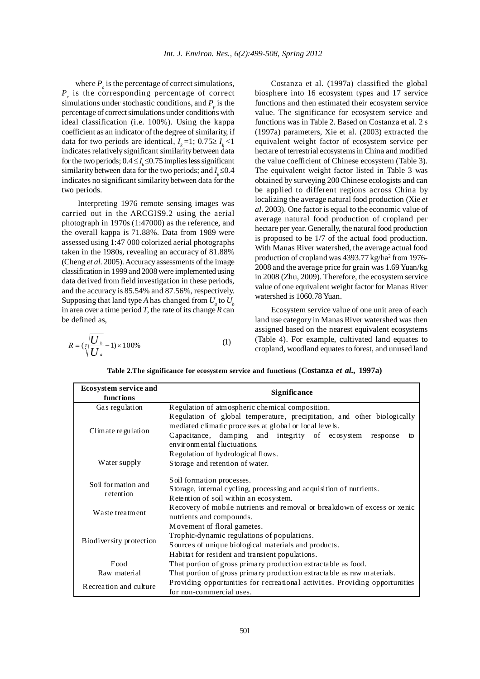where  $P_{\rho}$  is the percentage of correct simulations,  $P_c$  is the corresponding percentage of correct simulations under stochastic conditions, and  $P_p$  is the percentage of correct simulations under conditions with ideal classification (i.e. 100%). Using the kappa coefficient as an indicator of the degree of similarity, if data for two periods are identical,  $I_k = 1$ ; 0.75≥  $I_k < 1$ indicates relatively significant similarity between data for the two periods;  $0.4 \le I_{\kappa} \le 0.75$  implies less significant similarity between data for the two periods; and  $I<sub>k</sub> \leq 0.4$ indicates no significant similarity between data for the two periods.

Interpreting 1976 remote sensing images was carried out in the ARCGIS9.2 using the aerial photograph in 1970s (1:47000) as the reference, and the overall kappa is 71.88%. Data from 1989 were assessed using 1:47 000 colorized aerial photographs taken in the 1980s, revealing an accuracy of 81.88% (Cheng *et al*. 2005). Accuracy assessments of the image classification in 1999 and 2008 were implemented using data derived from field investigation in these periods, and the accuracy is 85.54% and 87.56%, respectively. Supposing that land type *A* has changed from  $U_a$  to  $U_b$ in area over a time period *T*, the rate of its change *R* can be defined as,

$$
R = (\sqrt[n]{\frac{U_b}{U_a}} - 1) \times 100\%
$$
 (1)

Costanza et al. (1997a) classified the global biosphere into 16 ecosystem types and 17 service functions and then estimated their ecosystem service value. The significance for ecosystem service and functions was in Table 2. Based on Costanza et al. 2 s (1997a) parameters, Xie et al. (2003) extracted the equivalent weight factor of ecosystem service per hectare of terrestrial ecosystems in China and modified the value coefficient of Chinese ecosystem (Table 3). The equivalent weight factor listed in Table 3 was obtained by surveying 200 Chinese ecologists and can be applied to different regions across China by localizing the average natural food production (Xie *et al*. 2003). One factor is equal to the economic value of average natural food production of cropland per hectare per year. Generally, the natural food production is proposed to be 1/7 of the actual food production. With Manas River watershed, the average actual food production of cropland was 4393.77 kg/ha<sup>2</sup> from 1976-2008 and the average price for grain was 1.69 Yuan/kg in 2008 (Zhu, 2009). Therefore, the ecosystem service value of one equivalent weight factor for Manas River watershed is 1060.78 Yuan.

Ecosystem service value of one unit area of each land use category in Manas River watershed was then assigned based on the nearest equivalent ecosystems (Table 4). For example, cultivated land equates to cropland, woodland equates to forest, and unused land

| <b>Ecosystem service and</b><br>functions                                                                                          | <b>Significance</b>                                                                                                                                                                                                                    |  |  |  |  |  |  |  |
|------------------------------------------------------------------------------------------------------------------------------------|----------------------------------------------------------------------------------------------------------------------------------------------------------------------------------------------------------------------------------------|--|--|--|--|--|--|--|
| Gas regulation                                                                                                                     | Regulation of atmospheric chemical composition.                                                                                                                                                                                        |  |  |  |  |  |  |  |
| Climate regulation                                                                                                                 | Regulation of global temperature, precipitation, and other biologically<br>mediated climatic processes at global or local levels.<br>Capacitance, damping and integrity of ecosystem<br>re sponse<br>to<br>environmental fluctuations. |  |  |  |  |  |  |  |
|                                                                                                                                    | Regulation of hydrological flows.                                                                                                                                                                                                      |  |  |  |  |  |  |  |
| Water supply                                                                                                                       | Storage and retention of water.                                                                                                                                                                                                        |  |  |  |  |  |  |  |
| Soil formation and<br>retention                                                                                                    | Soil formation processes.<br>Storage, internal cycling, processing and acquisition of nutrients.<br>Retention of soil within an ecosystem.                                                                                             |  |  |  |  |  |  |  |
| Waste treatment                                                                                                                    | Recovery of mobile nutrients and removal or breakdown of excess or xenic<br>nutrients and compounds.                                                                                                                                   |  |  |  |  |  |  |  |
| Biodiversity protection                                                                                                            | Movement of floral gametes.<br>Trophic-dynamic regulations of populations.<br>Sources of unique biological materials and products.<br>Habitat for resident and transient populations.                                                  |  |  |  |  |  |  |  |
| Food                                                                                                                               | That portion of gross primary production extractable as food.                                                                                                                                                                          |  |  |  |  |  |  |  |
| Raw material                                                                                                                       | That portion of gross primary production extractable as raw materials.                                                                                                                                                                 |  |  |  |  |  |  |  |
| Providing opportunities for recreational activities. Providing opportunities<br>Recreation and culture<br>for non-commercial uses. |                                                                                                                                                                                                                                        |  |  |  |  |  |  |  |

**Table 2.The significance for ecosystem service and functions (Costanza** *et al.,* **1997a)**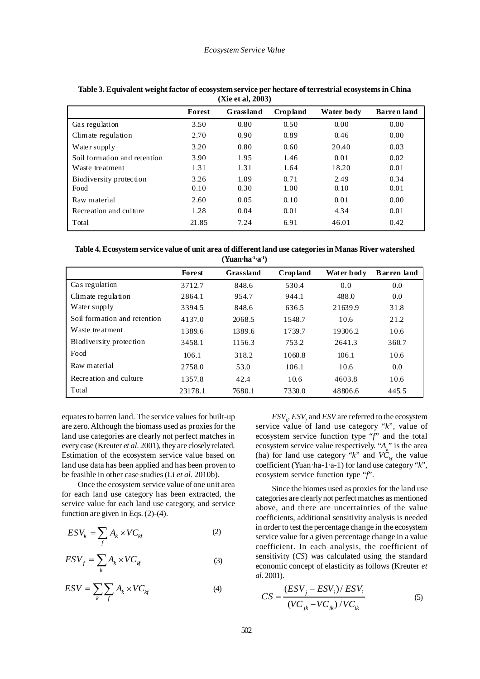| 12 Y.C. GI, 2005 1           |        |           |                 |            |                    |  |  |  |  |
|------------------------------|--------|-----------|-----------------|------------|--------------------|--|--|--|--|
|                              | Forest | Grassland | <b>Cropland</b> | Water body | <b>Barren</b> land |  |  |  |  |
| Gas regulation               | 3.50   | 0.80      | 0.50            | 0.00       | 0.00               |  |  |  |  |
| Climate regulation           | 2.70   | 0.90      | 0.89            | 0.46       | 0.00               |  |  |  |  |
| Water supply                 | 3.20   | 0.80      | 0.60            | 20.40      | 0.03               |  |  |  |  |
| Soil formation and retention | 3.90   | 1.95      | 1.46            | 0.01       | 0.02               |  |  |  |  |
| Waste treatment              | 1.31   | 1.31      | 1.64            | 18.20      | 0.01               |  |  |  |  |
| Biodiversity protection      | 3.26   | 1.09      | 0.71            | 2.49       | 0.34               |  |  |  |  |
| Food                         | 0.10   | 0.30      | 1.00            | 0.10       | 0.01               |  |  |  |  |
| Raw material                 | 2.60   | 0.05      | 0.10            | 0.01       | 0.00               |  |  |  |  |
| Recreation and culture       | 1.28   | 0.04      | 0.01            | 4.34       | 0.01               |  |  |  |  |
| Total                        | 21.85  | 7.24      | 6.91            | 46.01      | 0.42               |  |  |  |  |

**Table 3. Equivalent weight factor of ecosystem service per hectare of terrestrial ecosystems in China (Xie et al, 2003)**

**Table 4. Ecosystem service value of unit area of different land use categories in Manas River watershed (Yuan·ha-1·a-1)**

|                              | <b>Forest</b> | Grassland | <b>Cropland</b> | Water bod v | <b>Barren</b> land |
|------------------------------|---------------|-----------|-----------------|-------------|--------------------|
| Gas regulation               | 3712.7        | 848.6     | 530.4           | 0.0         | 0.0                |
| Climate regulation           | 2864.1        | 954.7     | 944.1           | 488.0       | 0.0                |
| Water supply                 | 3394.5        | 848.6     | 636.5           | 21639.9     | 31.8               |
| Soil formation and retention | 4137.0        | 2068.5    | 1548.7          | 10.6        | 21.2               |
| Waste treatment              | 1389.6        | 1389.6    | 1739.7          | 19306.2     | 10.6               |
| Biodiversity protection      | 3458.1        | 1156.3    | 753.2           | 2641.3      | 360.7              |
| Food                         | 106.1         | 318.2     | 1060.8          | 106.1       | 10.6               |
| Raw material                 | 2758.0        | 53.0      | 106.1           | 10.6        | 0.0                |
| Recreation and culture       | 1357.8        | 42.4      | 10.6            | 4603.8      | 10.6               |
| Total                        | 23178.1       | 7680.1    | 7330.0          | 48806.6     | 445.5              |

equates to barren land. The service values for built-up are zero. Although the biomass used as proxies for the land use categories are clearly not perfect matches in every case (Kreuter *et al*. 2001), they are closely related. Estimation of the ecosystem service value based on land use data has been applied and has been proven to be feasible in other case studies (Li *et al*. 2010b).

Once the ecosystem service value of one unit area for each land use category has been extracted, the service value for each land use category, and service function are given in Eqs. (2)-(4).

$$
ESV_k = \sum_f A_k \times VC_{kf} \tag{2}
$$

$$
ESV_f = \sum_k A_k \times VC_{kf}
$$
 (3)

$$
ESV = \sum_{k} \sum_{f} A_{k} \times VC_{kf}
$$
 (4)

 $ESV_{k}$ ,  $ESV_{f}$  and  $ESV$  are referred to the ecosystem service value of land use category "*k*", value of ecosystem service function type "*f*" and the total ecosystem service value respectively. " $A_k$ " is the area (ha) for land use category "*k*" and  $V\hat{C}_{k}$  the value coefficient (Yuan·ha-1·a-1) for land use category "*k*", ecosystem service function type "*f*".

Since the biomes used as proxies for the land use categories are clearly not perfect matches as mentioned above, and there are uncertainties of the value coefficients, additional sensitivity analysis is needed in order to test the percentage change in the ecosystem service value for a given percentage change in a value coefficient. In each analysis, the coefficient of sensitivity (*CS*) was calculated using the standard economic concept of elasticity as follows (Kreuter *et al*. 2001).

$$
CS = \frac{(ESV_j - ESV_i)/ESV_i}{(VC_{jk} - VC_{ik})/VC_{ik}}
$$
 (5)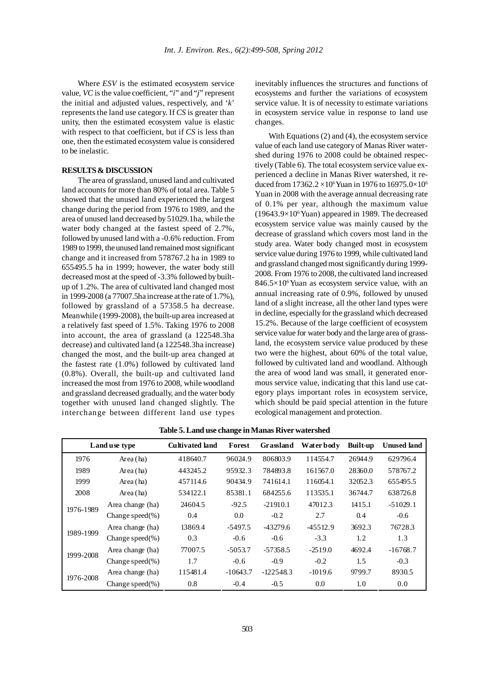Where *ESV* is the estimated ecosystem service value, *VC* is the value coefficient, "*i*" and "*j*" represent the initial and adjusted values, respectively, and '*k*' represents the land use category. If *CS* is greater than unity, then the estimated ecosystem value is elastic with respect to that coefficient, but if *CS* is less than one, then the estimated ecosystem value is considered to be inelastic.

#### **RESULTS & DISCUSSION**

The area of grassland, unused land and cultivated land accounts for more than 80% of total area. Table 5 showed that the unused land experienced the largest change during the period from 1976 to 1989, and the area of unused land decreased by 51029.1ha, while the water body changed at the fastest speed of 2.7%, followed by unused land with a -0.6% reduction. From 1989 to 1999, the unused land remained most significant change and it increased from 578767.2 ha in 1989 to 655495.5 ha in 1999; however, the water body still decreased most at the speed of -3.3% followed by builtup of 1.2%. The area of cultivated land changed most in 1999-2008 (a 77007.5ha increase at the rate of 1.7%), followed by grassland of a 57358.5 ha decrease. Meanwhile (1999-2008), the built-up area increased at a relatively fast speed of 1.5%. Taking 1976 to 2008 into account, the area of grassland (a 122548.3ha decrease) and cultivated land (a 122548.3ha increase) changed the most, and the built-up area changed at the fastest rate (1.0%) followed by cultivated land (0.8%). Overall, the built-up and cultivated land increased the most from 1976 to 2008, while woodland and grassland decreased gradually, and the water body together with unused land changed slightly. The interchange between different land use types

inevitably influences the structures and functions of ecosystems and further the variations of ecosystem service value. It is of necessity to estimate variations in ecosystem service value in response to land use changes.

With Equations (2) and (4), the ecosystem service value of each land use category of Manas River watershed during 1976 to 2008 could be obtained respectively (Table 6). The total ecosystem service value experienced a decline in Manas River watershed, it reduced from  $17362.2 \times 10^6$  Yuan in 1976 to  $16975.0 \times 10^6$ Yuan in 2008 with the average annual decreasing rate of 0.1% per year, although the maximum value (19643.9×106 Yuan) appeared in 1989. The decreased ecosystem service value was mainly caused by the decrease of grassland which covers most land in the study area. Water body changed most in ecosystem service value during 1976 to 1999, while cultivated land and grassland changed most significantly during 1999- 2008. From 1976 to 2008, the cultivated land increased  $846.5\times10^{6}$  Yuan as ecosystem service value, with an annual increasing rate of 0.9%, followed by unused land of a slight increase, all the other land types were in decline, especially for the grassland which decreased 15.2%. Because of the large coefficient of ecosystem service value for water body and the large area of grassland, the ecosystem service value produced by these two were the highest, about 60% of the total value, followed by cultivated land and woodland. Although the area of wood land was small, it generated enormous service value, indicating that this land use category plays important roles in ecosystem service, which should be paid special attention in the future ecological management and protection.

| Land use type |                     | <b>Cultivated land</b> | Forest     | Grassland   | Water bod v | <b>Built-up</b> | <b>Unused land</b> |
|---------------|---------------------|------------------------|------------|-------------|-------------|-----------------|--------------------|
| 1976          | Area (ha)           | 418640.7               | 96024.9    | 806803.9    | 114554.7    | 26944.9         | 629796.4           |
| 1989          | Area (ha)           | 443245.2               | 95932.3    | 784893.8    | 161567.0    | 28360.0         | 578767.2           |
| 1999          | Area (ha)           | 457114.6               | 90434.9    | 741614.1    | 116054.1    | 32052.3         | 655495.5           |
| 2008          | Area (ha)           | 534122.1               | 85381.1    | 684255.6    | 113535.1    | 36744.7         | 638726.8           |
| 1976-1989     | Area change (ha)    | 24604.5                | $-92.5$    | $-21910.1$  | 47012.3     | 1415.1          | $-51029.1$         |
|               | Change speed $(\%)$ | 0.4                    | 0.0        | $-0.2$      | 2.7         | 0.4             | $-0.6$             |
|               | Area change (ha)    | 13869.4                | $-5497.5$  | $-43279.6$  | $-45512.9$  | 3692.3          | 76728.3            |
| 1989-1999     | Change speed $(\%)$ | 0.3                    | $-0.6$     | $-0.6$      | $-3.3$      | 1.2             | 1.3                |
|               | Area change (ha)    | 77007.5                | $-5053.7$  | $-57358.5$  | $-2519.0$   | 4692.4          | $-16768.7$         |
| 1999-2008     | Change speed $(\%)$ | 1.7                    | $-0.6$     | $-0.9$      | $-0.2$      | 1.5             | $-0.3$             |
| 1976-2008     | Area change (ha)    | 115481.4               | $-10643.7$ | $-122548.3$ | $-1019.6$   | 9799.7          | 8930.5             |
|               | Change speed $(\%)$ | 0.8                    | $-0.4$     | $-0.5$      | 0.0         | 1.0             | 0.0                |

**Table 5. Land use change in Manas River watershed**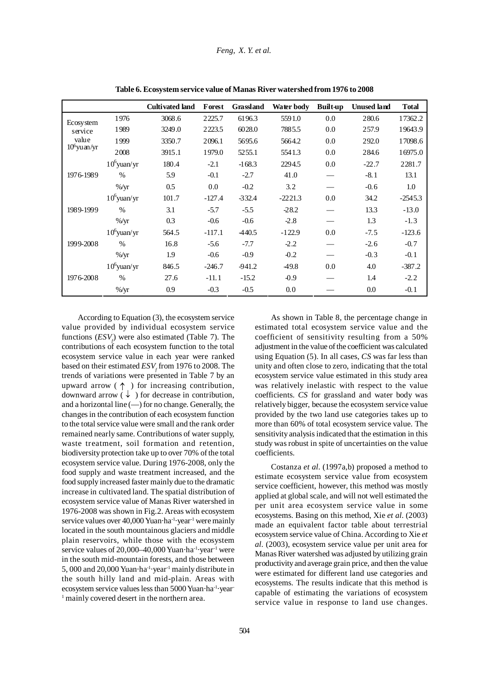# *Feng, X. Y. et al.*

|                 |                | <b>Cultivated land</b> | Forest   | Grassland | Water body | <b>Built-up</b> | <b>Unused land</b> | <b>Total</b> |
|-----------------|----------------|------------------------|----------|-----------|------------|-----------------|--------------------|--------------|
| Ecosystem       | 1976           | 3068.6                 | 2225.7   | 6196.3    | 5591.0     | 0.0             | 280.6              | 17362.2      |
| service         | 1989           | 3249.0                 | 2223.5   | 6028.0    | 7885.5     | 0.0             | 257.9              | 19643.9      |
| value           | 1999           | 3350.7                 | 2096.1   | 5695.6    | 5664.2     | 0.0             | 292.0              | 17098.6      |
| $10^6$ yu an/yr | 2008           | 3915.1                 | 1979.0   | 5255.1    | 5541.3     | 0.0             | 284.6              | 16975.0      |
|                 | $10^6$ yuan/yr | 180.4                  | $-2.1$   | $-168.3$  | 2294.5     | 0.0             | $-22.7$            | 2281.7       |
| 1976-1989       | $\%$           | 5.9                    | $-0.1$   | $-2.7$    | 41.0       |                 | $-8.1$             | 13.1         |
|                 | $\%$ /yr       | 0.5                    | 0.0      | $-0.2$    | 3.2        |                 | $-0.6$             | 1.0          |
|                 | $10^6$ yuan/yr | 101.7                  | $-127.4$ | $-332.4$  | $-2221.3$  | 0.0             | 34.2               | $-2545.3$    |
| 1989-1999       | $\frac{0}{0}$  | 3.1                    | $-5.7$   | $-5.5$    | $-28.2$    |                 | 13.3               | $-13.0$      |
|                 | $\%$ /yr       | 0.3                    | $-0.6$   | $-0.6$    | $-2.8$     |                 | 1.3                | $-1.3$       |
|                 | $10^6$ yuan/yr | 564.5                  | $-117.1$ | -440.5    | $-122.9$   | 0.0             | $-7.5$             | $-123.6$     |
| 1999-2008       | $\frac{0}{0}$  | 16.8                   | $-5.6$   | $-7.7$    | $-2.2$     |                 | $-2.6$             | $-0.7$       |
|                 | $\%$ /yr       | 1.9                    | $-0.6$   | $-0.9$    | $-0.2$     |                 | $-0.3$             | $-0.1$       |
| 1976-2008       | $10^6$ yuan/yr | 846.5                  | $-246.7$ | $-941.2$  | 49.8       | 0.0             | 4.0                | $-387.2$     |
|                 | $\%$           | 27.6                   | $-11.1$  | $-15.2$   | $-0.9$     |                 | 1.4                | $-2.2$       |
|                 | $\%$ /yr       | 0.9                    | $-0.3$   | $-0.5$    | 0.0        |                 | 0.0                | $-0.1$       |

**Table 6. Ecosystem service value of Manas River watershed from 1976 to 2008**

According to Equation (3), the ecosystem service value provided by individual ecosystem service functions  $(ESV_f)$  were also estimated (Table 7). The contributions of each ecosystem function to the total ecosystem service value in each year were ranked based on their estimated  $ESV<sub>f</sub>$  from 1976 to 2008. The trends of variations were presented in Table 7 by an upward arrow ( $\uparrow$ ) for increasing contribution, downward arrow  $(\downarrow)$  for decrease in contribution, and a horizontal line  $(-)$  for no change. Generally, the changes in the contribution of each ecosystem function to the total service value were small and the rank order remained nearly same. Contributions of water supply, waste treatment, soil formation and retention, biodiversity protection take up to over 70% of the total ecosystem service value. During 1976-2008, only the food supply and waste treatment increased, and the food supply increased faster mainly due to the dramatic increase in cultivated land. The spatial distribution of ecosystem service value of Manas River watershed in 1976-2008 was shown in Fig.2. Areas with ecosystem service values over 40,000 Yuan·ha<sup>-1</sup>·year<sup>-1</sup> were mainly located in the south mountainous glaciers and middle plain reservoirs, while those with the ecosystem service values of 20,000–40,000 Yuan·ha<sup>-1</sup>·year<sup>-1</sup> were in the south mid-mountain forests, and those between 5, 000 and 20,000 Yuan·ha-1·year-1 mainly distribute in the south hilly land and mid-plain. Areas with ecosystem service values less than 5000 Yuan·ha-1·year-<sup>1</sup> mainly covered desert in the northern area.

As shown in Table 8, the percentage change in estimated total ecosystem service value and the coefficient of sensitivity resulting from a 50% adjustment in the value of the coefficient was calculated using Equation (5). In all cases, *CS* was far less than unity and often close to zero, indicating that the total ecosystem service value estimated in this study area was relatively inelastic with respect to the value coefficients. *CS* for grassland and water body was relatively bigger, because the ecosystem service value provided by the two land use categories takes up to more than 60% of total ecosystem service value. The sensitivity analysis indicated that the estimation in this study was robust in spite of uncertainties on the value coefficients.

Costanza *et al*. (1997a,b) proposed a method to estimate ecosystem service value from ecosystem service coefficient, however, this method was mostly applied at global scale, and will not well estimated the per unit area ecosystem service value in some ecosystems. Basing on this method, Xie *et al*. (2003) made an equivalent factor table about terrestrial ecosystem service value of China. According to Xie *et al*. (2003), ecosystem service value per unit area for Manas River watershed was adjusted by utilizing grain productivity and average grain price, and then the value were estimated for different land use categories and ecosystems. The results indicate that this method is capable of estimating the variations of ecosystem service value in response to land use changes.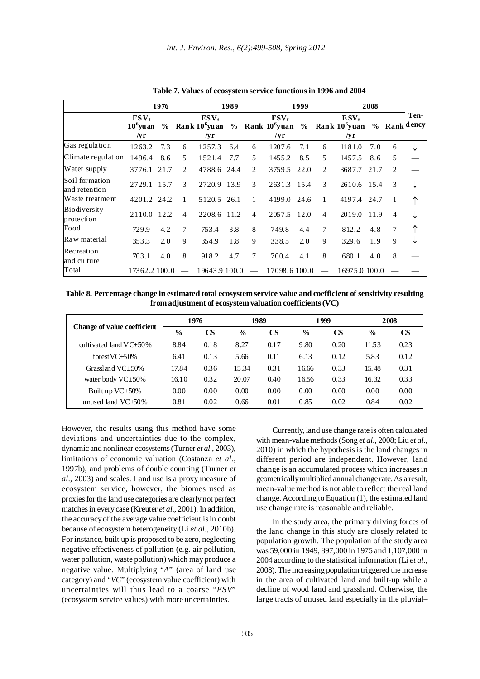|                                   | 1976                                 |                |               |                                                                         | 1989 |                               | 1999           |      |                          | 2008                                            |      |                |                      |
|-----------------------------------|--------------------------------------|----------------|---------------|-------------------------------------------------------------------------|------|-------------------------------|----------------|------|--------------------------|-------------------------------------------------|------|----------------|----------------------|
|                                   | $ESV_f$<br>$10^{\circ}$ vu an<br>/yr | $\frac{6}{10}$ |               | $ESV_f$<br>Rank 10 <sup>6</sup> yuan % Rank 10 <sup>6</sup> yuan<br>/yr |      |                               | $ESV_f$<br>/yr |      |                          | $ESV_f$<br>$%$ Rank 10 <sup>6</sup> yuan<br>/yr |      |                | Ten-<br>% Rank dency |
| Gas regulation                    | 1263.2                               | 7.3            | 6             | 1257.3                                                                  | 6.4  | 6                             | 1207.6         | 7.1  | 6                        | 1181.0                                          | 7.0  | 6              | ↓                    |
| Climate regulation                | 1496.4                               | 8.6            | 5.            | 1521.4                                                                  | 7.7  | 5                             | 1455.2         | 8.5  | 5                        | 1457.5                                          | 8.6  | 5              |                      |
| Water supply                      | 3776.1                               | 21.7           | 2             | 4788.6 24.4                                                             |      | $\mathfrak{D}_{\mathfrak{p}}$ | 3759.5         | 22.0 | 2                        | 3687.7                                          | 21.7 | 2              |                      |
| Soil formation<br>and retention   | 2729.1 15.7                          |                | $\mathcal{R}$ | 2720.9 13.9                                                             |      | $\mathcal{R}$                 | 2631.3 15.4    |      | 3                        | 2610.6 15.4                                     |      | 3              | ↓                    |
| Waste treatment                   | 4201.2 24.2                          |                | 1             | 5120.5 26.1                                                             |      | 1                             | 4199.0         | 24.6 | 1                        | 4197.4 24.7                                     |      | 1              |                      |
| <b>Biodiversity</b><br>protection | 2110.0 12.2                          |                | 4             | 2208.6 11.2                                                             |      | $\overline{4}$                | 2057.5         | 12.0 | $\overline{4}$           | 2019.0                                          | 11.9 | $\overline{4}$ |                      |
| Food                              | 729.9                                | 4.2            | 7             | 753.4                                                                   | 3.8  | 8                             | 749.8          | 4.4  | $\tau$                   | 812.2                                           | 4.8  | 7              |                      |
| Raw material                      | 353.3                                | 2.0            | 9             | 354.9                                                                   | 1.8  | 9                             | 338.5          | 2.0  | 9                        | 329.6                                           | 1.9  | 9              |                      |
| <b>Recreation</b><br>and culture  | 703.1                                | 4.0            | 8             | 918.2                                                                   | 4.7  | 7                             | 700.4          | 4.1  | 8                        | 680.1                                           | 4.0  | 8              |                      |
| Total                             | 17362.2 100.0                        |                | $\frac{1}{2}$ | 19643.9 100.0                                                           |      | $\sim$                        | 17098.6 100.0  |      | $\overline{\phantom{a}}$ | 16975.0 100.0                                   |      |                |                      |

**Table 7. Values of ecosystem service functions in 1996 and 2004**

**Table 8. Percentage change in estimated total ecosystem service value and coefficient of sensitivity resulting from adjustment of ecosystem valuation coefficients (VC)**

|                             | 1976          |               |               | 1989      |               | 1999      | 2008          |           |
|-----------------------------|---------------|---------------|---------------|-----------|---------------|-----------|---------------|-----------|
| Change of value coefficient | $\frac{6}{6}$ | $\mathbf{CS}$ | $\frac{6}{6}$ | <b>CS</b> | $\frac{0}{0}$ | <b>CS</b> | $\frac{0}{0}$ | <b>CS</b> |
| cultivated land $VC+50\%$   | 8.84          | 0.18          | 8.27          | 0.17      | 9.80          | 0.20      | 11.53         | 0.23      |
| forest $VC + 50%$           | 6.41          | 0.13          | 5.66          | 0.11      | 6.13          | 0.12      | 5.83          | 0.12      |
| Grassland $VC+50%$          | 17.84         | 0.36          | 15.34         | 0.31      | 16.66         | 0.33      | 15.48         | 0.31      |
| water body $VC \pm 50\%$    | 16.10         | 0.32          | 20.07         | 0.40      | 16.56         | 0.33      | 16.32         | 0.33      |
| Built up $VC \pm 50\%$      | 0.00          | 0.00          | 0.00          | 0.00      | 0.00          | 0.00      | 0.00          | 0.00      |
| unused land $VC + 50\%$     | 0.81          | 0.02          | 0.66          | 0.01      | 0.85          | 0.02      | 0.84          | 0.02      |

However, the results using this method have some deviations and uncertainties due to the complex, dynamic and nonlinear ecosystems (Turner *et al*., 2003), limitations of economic valuation (Costanza *et al*., 1997b), and problems of double counting (Turner *et al*., 2003) and scales. Land use is a proxy measure of ecosystem service, however, the biomes used as proxies for the land use categories are clearly not perfect matches in every case (Kreuter *et al*., 2001). In addition, the accuracy of the average value coefficient is in doubt because of ecosystem heterogeneity (Li *et al*., 2010b). For instance, built up is proposed to be zero, neglecting negative effectiveness of pollution (e.g. air pollution, water pollution, waste pollution) which may produce a negative value. Multiplying "*A*" (area of land use category) and "*VC*" (ecosystem value coefficient) with uncertainties will thus lead to a coarse "*ESV*" (ecosystem service values) with more uncertainties.

Currently, land use change rate is often calculated with mean-value methods (Song *et al*., 2008; Liu *et al*., 2010) in which the hypothesis is the land changes in different period are independent. However, land change is an accumulated process which increases in geometrically multiplied annual change rate. As a result, mean-value method is not able to reflect the real land change. According to Equation (1), the estimated land use change rate is reasonable and reliable.

In the study area, the primary driving forces of the land change in this study are closely related to population growth. The population of the study area was 59,000 in 1949, 897,000 in 1975 and 1,107,000 in 2004 according to the statistical information (Li *et al*., 2008). The increasing population triggered the increase in the area of cultivated land and built-up while a decline of wood land and grassland. Otherwise, the large tracts of unused land especially in the pluvial–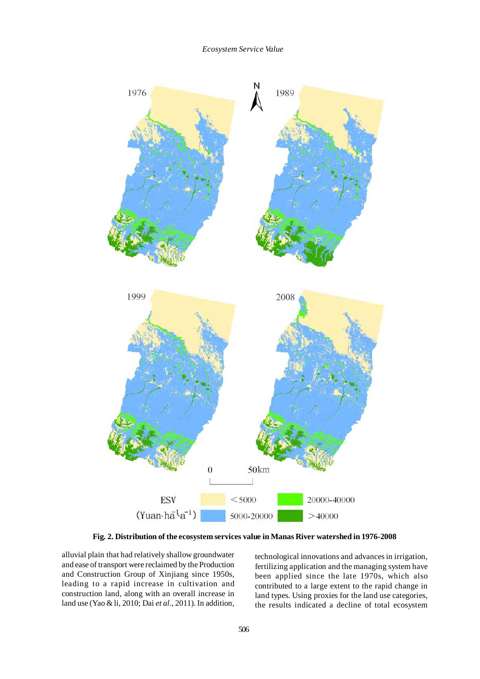

**Fig. 2. Distribution of the ecosystem services value in Manas River watershed in 1976-2008**

alluvial plain that had relatively shallow groundwater and ease of transport were reclaimed by the Production and Construction Group of Xinjiang since 1950s, leading to a rapid increase in cultivation and construction land, along with an overall increase in land use (Yao & li, 2010; Dai *et al*., 2011). In addition,

technological innovations and advances in irrigation, fertilizing application and the managing system have been applied since the late 1970s, which also contributed to a large extent to the rapid change in land types. Using proxies for the land use categories, the results indicated a decline of total ecosystem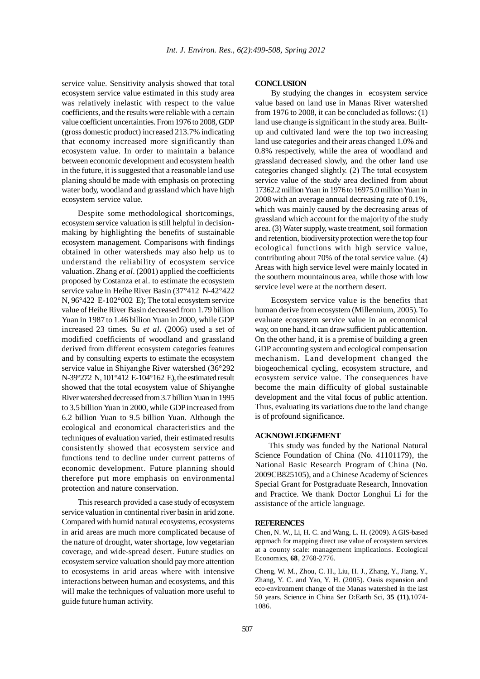service value. Sensitivity analysis showed that total ecosystem service value estimated in this study area was relatively inelastic with respect to the value coefficients, and the results were reliable with a certain value coefficient uncertainties. From 1976 to 2008, GDP (gross domestic product) increased 213.7% indicating that economy increased more significantly than ecosystem value. In order to maintain a balance between economic development and ecosystem health in the future, it is suggested that a reasonable land use planing should be made with emphasis on protecting water body, woodland and grassland which have high ecosystem service value.

Despite some methodological shortcomings, ecosystem service valuation is still helpful in decisionmaking by highlighting the benefits of sustainable ecosystem management. Comparisons with findings obtained in other watersheds may also help us to understand the reliability of ecosystem service valuation. Zhang *et al*. (2001) applied the coefficients proposed by Costanza et al. to estimate the ecosystem service value in Heihe River Basin (37°412 N-42°422 N, 96°422 E-102°002 E); The total ecosystem service value of Heihe River Basin decreased from 1.79 billion Yuan in 1987 to 1.46 billion Yuan in 2000, while GDP increased 23 times. Su *et al*. (2006) used a set of modified coefficients of woodland and grassland derived from different ecosystem categories features and by consulting experts to estimate the ecosystem service value in Shiyanghe River watershed (36°292 N-39°272 N, 101°412 E-104°162 E), the estimated result showed that the total ecosystem value of Shiyanghe River watershed decreased from 3.7 billion Yuan in 1995 to 3.5 billion Yuan in 2000, while GDP increased from 6.2 billion Yuan to 9.5 billion Yuan. Although the ecological and economical characteristics and the techniques of evaluation varied, their estimated results consistently showed that ecosystem service and functions tend to decline under current patterns of economic development. Future planning should therefore put more emphasis on environmental protection and nature conservation.

This research provided a case study of ecosystem service valuation in continental river basin in arid zone. Compared with humid natural ecosystems, ecosystems in arid areas are much more complicated because of the nature of drought, water shortage, low vegetarian coverage, and wide-spread desert. Future studies on ecosystem service valuation should pay more attention to ecosystems in arid areas where with intensive interactions between human and ecosystems, and this will make the techniques of valuation more useful to guide future human activity.

### **CONCLUSION**

By studying the changes in ecosystem service value based on land use in Manas River watershed from 1976 to 2008, it can be concluded as follows: (1) land use change is significant in the study area. Builtup and cultivated land were the top two increasing land use categories and their areas changed 1.0% and 0.8% respectively, while the area of woodland and grassland decreased slowly, and the other land use categories changed slightly. (2) The total ecosystem service value of the study area declined from about 17362.2 million Yuan in 1976 to 16975.0 million Yuan in 2008 with an average annual decreasing rate of 0.1%, which was mainly caused by the decreasing areas of grassland which account for the majority of the study area. (3) Water supply, waste treatment, soil formation and retention, biodiversity protection were the top four ecological functions with high service value, contributing about 70% of the total service value. (4) Areas with high service level were mainly located in the southern mountainous area, while those with low service level were at the northern desert.

Ecosystem service value is the benefits that human derive from ecosystem (Millennium, 2005). To evaluate ecosystem service value in an economical way, on one hand, it can draw sufficient public attention. On the other hand, it is a premise of building a green GDP accounting system and ecological compensation mechanism. Land development changed the biogeochemical cycling, ecosystem structure, and ecosystem service value. The consequences have become the main difficulty of global sustainable development and the vital focus of public attention. Thus, evaluating its variations due to the land change is of profound significance.

## **ACKNOWLEDGEMENT**

This study was funded by the National Natural Science Foundation of China (No. 41101179), the National Basic Research Program of China (No. 2009CB825105), and a Chinese Academy of Sciences Special Grant for Postgraduate Research, Innovation and Practice. We thank Doctor Longhui Li for the assistance of the article language.

#### **REFERENCES**

Chen, N. W., Li, H. C. and Wang, L. H. (2009). A GIS-based approach for mapping direct use value of ecosystem services at a county scale: management implications. Ecological Economics, **68**, 2768-2776.

Cheng, W. M., Zhou, C. H., Liu, H. J., Zhang, Y., Jiang, Y., Zhang, Y. C. and Yao, Y. H. (2005). Oasis expansion and eco-environment change of the Manas watershed in the last 50 years. Science in China Ser D:Earth Sci, **35 (11)**,1074- 1086.